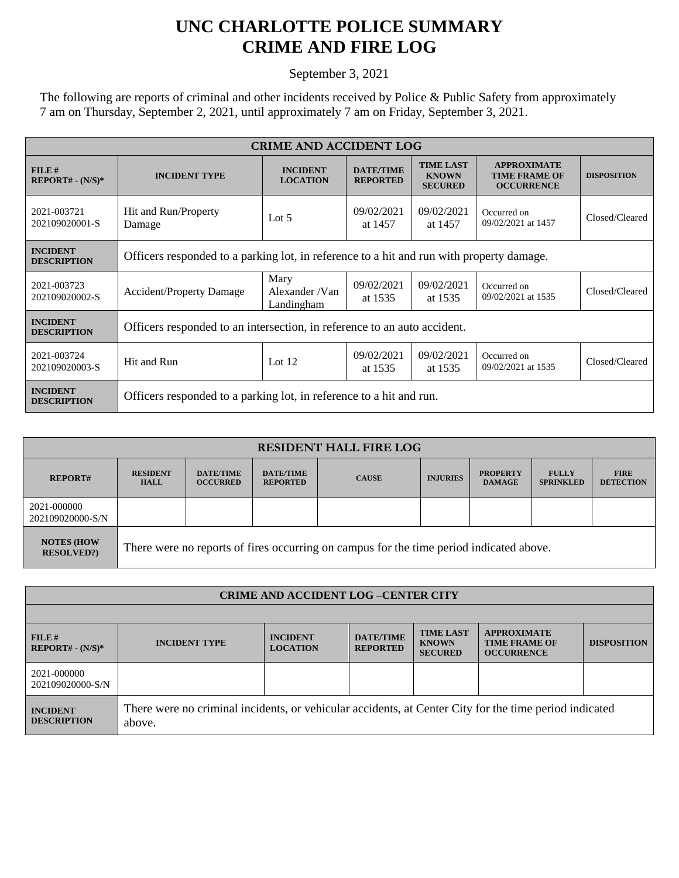## **UNC CHARLOTTE POLICE SUMMARY CRIME AND FIRE LOG**

September 3, 2021

The following are reports of criminal and other incidents received by Police & Public Safety from approximately 7 am on Thursday, September 2, 2021, until approximately 7 am on Friday, September 3, 2021.

| <b>CRIME AND ACCIDENT LOG</b>         |                                                                                          |                                       |                                     |                                                    |                                                                 |                    |  |  |
|---------------------------------------|------------------------------------------------------------------------------------------|---------------------------------------|-------------------------------------|----------------------------------------------------|-----------------------------------------------------------------|--------------------|--|--|
| $FILE$ #<br>$REPORT# - (N/S)*$        | <b>INCIDENT TYPE</b>                                                                     | <b>INCIDENT</b><br><b>LOCATION</b>    | <b>DATE/TIME</b><br><b>REPORTED</b> | <b>TIME LAST</b><br><b>KNOWN</b><br><b>SECURED</b> | <b>APPROXIMATE</b><br><b>TIME FRAME OF</b><br><b>OCCURRENCE</b> | <b>DISPOSITION</b> |  |  |
| 2021-003721<br>202109020001-S         | Hit and Run/Property<br>Damage                                                           | Lot $5$                               | 09/02/2021<br>at 1457               | 09/02/2021<br>at 1457                              | Occurred on<br>09/02/2021 at 1457                               | Closed/Cleared     |  |  |
| <b>INCIDENT</b><br><b>DESCRIPTION</b> | Officers responded to a parking lot, in reference to a hit and run with property damage. |                                       |                                     |                                                    |                                                                 |                    |  |  |
| 2021-003723<br>202109020002-S         | <b>Accident/Property Damage</b>                                                          | Mary<br>Alexander / Van<br>Landingham | 09/02/2021<br>at 1535               | 09/02/2021<br>at 1535                              | Occurred on<br>09/02/2021 at 1535                               | Closed/Cleared     |  |  |
| <b>INCIDENT</b><br><b>DESCRIPTION</b> | Officers responded to an intersection, in reference to an auto accident.                 |                                       |                                     |                                                    |                                                                 |                    |  |  |
| 2021-003724<br>202109020003-S         | Hit and Run                                                                              | Lot $12$                              | 09/02/2021<br>at 1535               | 09/02/2021<br>at 1535                              | Occurred on<br>09/02/2021 at 1535                               | Closed/Cleared     |  |  |
| <b>INCIDENT</b><br><b>DESCRIPTION</b> | Officers responded to a parking lot, in reference to a hit and run.                      |                                       |                                     |                                                    |                                                                 |                    |  |  |

| <b>RESIDENT HALL FIRE LOG</b>          |                                                                                         |                                     |                                     |              |                 |                                  |                                  |                                 |
|----------------------------------------|-----------------------------------------------------------------------------------------|-------------------------------------|-------------------------------------|--------------|-----------------|----------------------------------|----------------------------------|---------------------------------|
| <b>REPORT#</b>                         | <b>RESIDENT</b><br><b>HALL</b>                                                          | <b>DATE/TIME</b><br><b>OCCURRED</b> | <b>DATE/TIME</b><br><b>REPORTED</b> | <b>CAUSE</b> | <b>INJURIES</b> | <b>PROPERTY</b><br><b>DAMAGE</b> | <b>FULLY</b><br><b>SPRINKLED</b> | <b>FIRE</b><br><b>DETECTION</b> |
| 2021-000000<br>202109020000-S/N        |                                                                                         |                                     |                                     |              |                 |                                  |                                  |                                 |
| <b>NOTES (HOW</b><br><b>RESOLVED?)</b> | There were no reports of fires occurring on campus for the time period indicated above. |                                     |                                     |              |                 |                                  |                                  |                                 |

| <b>CRIME AND ACCIDENT LOG-CENTER CITY</b> |                                                                                                                  |                                    |                                     |                                                    |                                                                 |                    |  |
|-------------------------------------------|------------------------------------------------------------------------------------------------------------------|------------------------------------|-------------------------------------|----------------------------------------------------|-----------------------------------------------------------------|--------------------|--|
|                                           |                                                                                                                  |                                    |                                     |                                                    |                                                                 |                    |  |
| FILE#<br>$REPORT# - (N/S)*$               | <b>INCIDENT TYPE</b>                                                                                             | <b>INCIDENT</b><br><b>LOCATION</b> | <b>DATE/TIME</b><br><b>REPORTED</b> | <b>TIME LAST</b><br><b>KNOWN</b><br><b>SECURED</b> | <b>APPROXIMATE</b><br><b>TIME FRAME OF</b><br><b>OCCURRENCE</b> | <b>DISPOSITION</b> |  |
| 2021-000000<br>202109020000-S/N           |                                                                                                                  |                                    |                                     |                                                    |                                                                 |                    |  |
| <b>INCIDENT</b><br><b>DESCRIPTION</b>     | There were no criminal incidents, or vehicular accidents, at Center City for the time period indicated<br>above. |                                    |                                     |                                                    |                                                                 |                    |  |